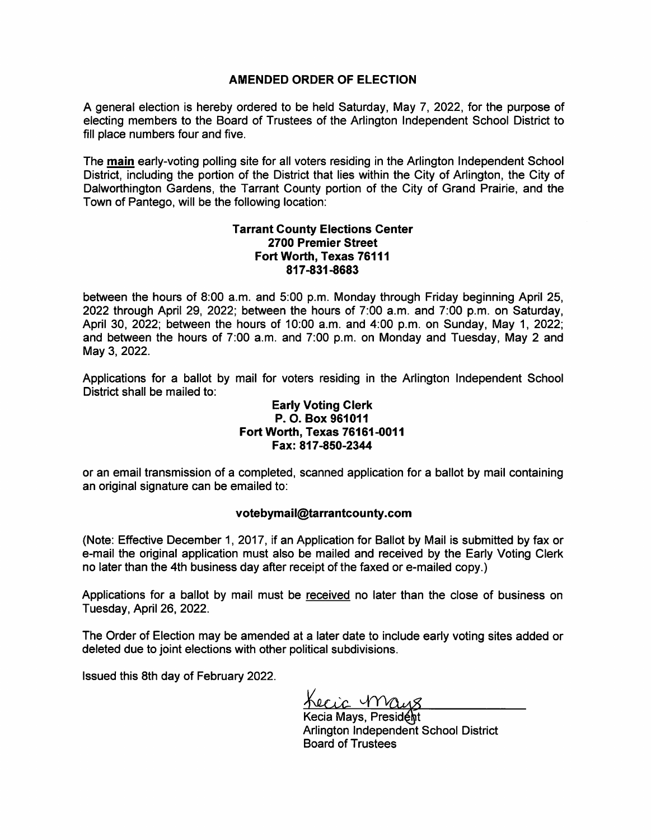# AMENDED ORDER OF ELECTION

A general election is hereby ordered to be held Saturday, May 7, 2022, for the purpose of electing members to the Board of Trustees of the Arlington Independent School District to fill place numbers four and five.

The main early-voting polling site for all voters residing in the Arlington Independent School District, including the portion of the District that lies within the City of Arlington, the City of Dalworthington Gardens, the Tarrant County portion of the City of Grand Prairie, and the Town of Pantego, will be the following location:

# Tarrant County Elections Center 2700 Premier Street Fort Worth, Texas 76111 817-831-8683

between the hours of 8:00 a.m. and 5:00 p.m. Monday through Friday beginning April 25, 2022 through April 29, 2022; between the hours of 7:00 a.m. and 7:00 p.m. on Saturday, April 30, 2022; between the hours of 10:00 a.m. and 4:00 p.m. on Sunday, May 1, 2022; and between the hours of 7:00 a.m. and 7:00 p.m. on Monday and Tuesday, May 2 and May 3, 2022.

Applications for a ballot by mail for voters residing in the Arlington Independent School District shall be mailed to:

# Early Voting Clerk P. O. Box 961011 Fort Worth, Texas 76161-0011 Fax: 817-850-2344

or an email transmission of a completed, scanned application for a ballot by mail containing an original signature can be emailed to:

## votebymail@tarrantcounty.com

(Note: Effective December 1, 2017, if an Application for Ballot by Mail is submitted by fax or e-mail the original application must also be mailed and received by the Early Voting Clerk no later than the 4th business day after receipt of the faxed or e-mailed copy.)

Applications for a ballot by mail must be received no later than the close of business on Tuesday, April 26, 2022.

The Order of Election may be amended at a later date to include early voting sites added or deleted due to joint elections with other political subdivisions.

Issued this 8th day of February 2022.

Lecic Maus

Kecia Mays, President Arlington Independent School District Board of Trustees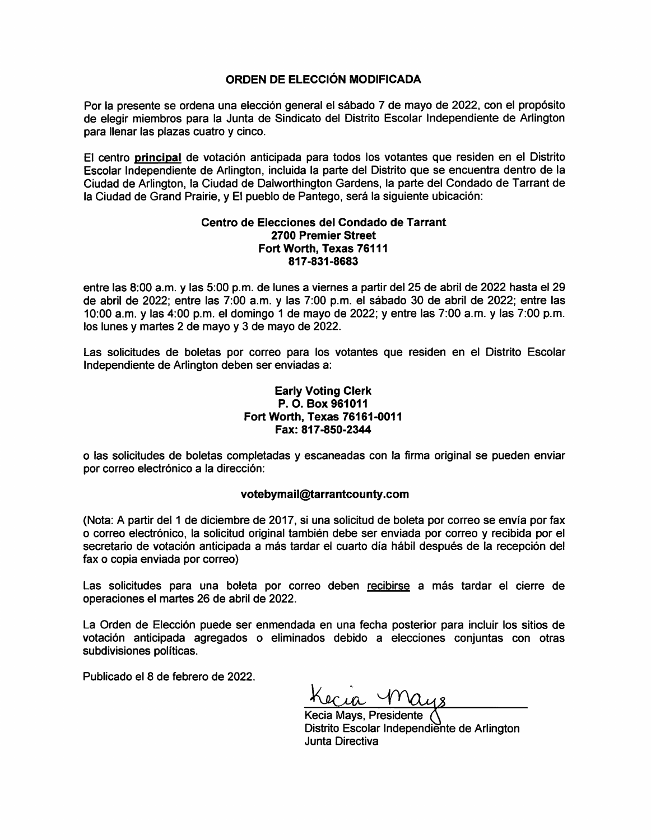## ORDEN DE ELECCIÓN MODIFICADA

Por la presente se ordena una elección general el sábado 7 de mayo de 2022, con el propósito de elegir miembros para la Junta de Sindicato del Distrito Escolar Independiente de Arlington para llenar las plazas cuatro y cinco.

El centro principal de votación anticipada para todos los votantes que residen en el Distrito Escolar Independiente de Arlington, incluida la parte del Distrito que se encuentra dentro de la Ciudad de Arlington, la Ciudad de Dalworthington Gardens, la parte del Condado de Tarrant de la Ciudad de Grand Prairie, y El pueblo de Pantego, será la siguiente ubicación:

#### Centro de Elecciones del Condado de Tarrant 2700 Premier Street Fort Worth, Texas 76111 817-831-8683

entre las 8:00 a.m. y las 5:00 p.m. de lunes a viernes a partir del 25 de abril de 2022 hasta el 29 de abril de 2022; entre las 7:00 a.m. y las 7:00 p.m. el sábado 30 de abril de 2022; entre las 10:00 a.m. y las 4:00 p.m. el domingo 1 de mayo de 2022; y entre las 7:00 a.m. y las 7:00 p.m. los lunes y martes 2 de mayo y 3 de mayo de 2022.

Las solicitudes de boletas por correo para los votantes que residen en el Distrito Escolar Independiente de Arlington deben ser enviadas a:

### **Early Voting Clerk** P. O. Box 961011 Fort Worth. Texas 76161-0011 Fax: 817-850-2344

o las solicitudes de boletas completadas y escaneadas con la firma original se pueden enviar por correo electrónico a la dirección:

## votebymail@tarrantcounty.com

(Nota: A partir del 1 de diciembre de 2017, si una solicitud de boleta por correo se envía por fax o correo electrónico, la solicitud original también debe ser enviada por correo y recibida por el secretario de votación anticipada a más tardar el cuarto día hábil después de la recepción del fax o copia enviada por correo)

Las solicitudes para una boleta por correo deben recibirse a más tardar el cierre de operaciones el martes 26 de abril de 2022.

La Orden de Elección puede ser enmendada en una fecha posterior para incluir los sitios de votación anticipada agregados o eliminados debido a elecciones conjuntas con otras subdivisiones políticas.

Publicado el 8 de febrero de 2022.

Kecia Mays, Presidente Distrito Escolar Independiente de Arlington Junta Directiva